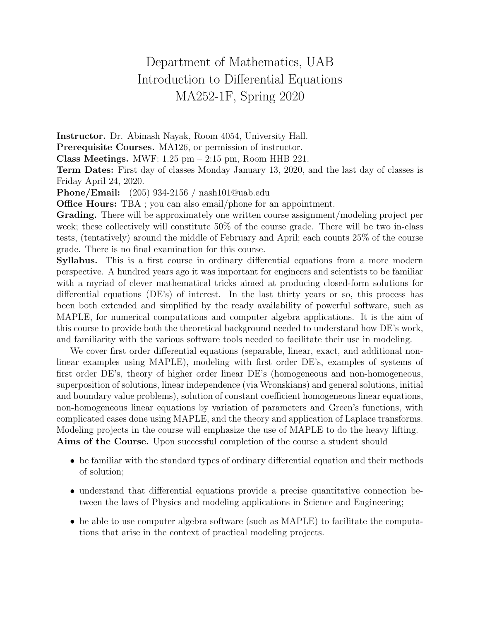## Department of Mathematics, UAB Introduction to Differential Equations MA252-1F, Spring 2020

Instructor. Dr. Abinash Nayak, Room 4054, University Hall.

Prerequisite Courses. MA126, or permission of instructor.

Class Meetings. MWF:  $1.25$  pm  $- 2.15$  pm, Room HHB 221.

Term Dates: First day of classes Monday January 13, 2020, and the last day of classes is Friday April 24, 2020.

Phone/Email: (205) 934-2156 / nash101@uab.edu

**Office Hours:** TBA ; you can also email/phone for an appointment.

Grading. There will be approximately one written course assignment/modeling project per week; these collectively will constitute 50% of the course grade. There will be two in-class tests, (tentatively) around the middle of February and April; each counts 25% of the course grade. There is no final examination for this course.

Syllabus. This is a first course in ordinary differential equations from a more modern perspective. A hundred years ago it was important for engineers and scientists to be familiar with a myriad of clever mathematical tricks aimed at producing closed-form solutions for differential equations (DE's) of interest. In the last thirty years or so, this process has been both extended and simplified by the ready availability of powerful software, such as MAPLE, for numerical computations and computer algebra applications. It is the aim of this course to provide both the theoretical background needed to understand how DE's work, and familiarity with the various software tools needed to facilitate their use in modeling.

We cover first order differential equations (separable, linear, exact, and additional nonlinear examples using MAPLE), modeling with first order DE's, examples of systems of first order DE's, theory of higher order linear DE's (homogeneous and non-homogeneous, superposition of solutions, linear independence (via Wronskians) and general solutions, initial and boundary value problems), solution of constant coefficient homogeneous linear equations, non-homogeneous linear equations by variation of parameters and Green's functions, with complicated cases done using MAPLE, and the theory and application of Laplace transforms. Modeling projects in the course will emphasize the use of MAPLE to do the heavy lifting. Aims of the Course. Upon successful completion of the course a student should

- be familiar with the standard types of ordinary differential equation and their methods of solution;
- understand that differential equations provide a precise quantitative connection between the laws of Physics and modeling applications in Science and Engineering;
- be able to use computer algebra software (such as MAPLE) to facilitate the computations that arise in the context of practical modeling projects.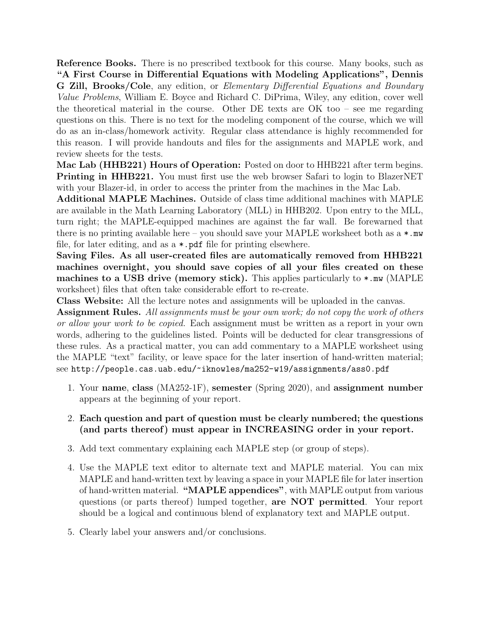Reference Books. There is no prescribed textbook for this course. Many books, such as "A First Course in Differential Equations with Modeling Applications", Dennis G Zill, Brooks/Cole, any edition, or Elementary Differential Equations and Boundary Value Problems, William E. Boyce and Richard C. DiPrima, Wiley, any edition, cover well the theoretical material in the course. Other DE texts are OK too – see me regarding questions on this. There is no text for the modeling component of the course, which we will do as an in-class/homework activity. Regular class attendance is highly recommended for this reason. I will provide handouts and files for the assignments and MAPLE work, and review sheets for the tests.

Mac Lab (HHB221) Hours of Operation: Posted on door to HHB221 after term begins. Printing in HHB221. You must first use the web browser Safari to login to BlazerNET with your Blazer-id, in order to access the printer from the machines in the Mac Lab.

Additional MAPLE Machines. Outside of class time additional machines with MAPLE are available in the Math Learning Laboratory (MLL) in HHB202. Upon entry to the MLL, turn right; the MAPLE-equipped machines are against the far wall. Be forewarned that there is no printing available here – you should save your MAPLE worksheet both as  $a * .mu$ file, for later editing, and as  $a * .p df$  file for printing elsewhere.

Saving Files. As all user-created files are automatically removed from HHB221 machines overnight, you should save copies of all your files created on these machines to a USB drive (memory stick). This applies particularly to  $\ast$ . mw (MAPLE) worksheet) files that often take considerable effort to re-create.

Class Website: All the lecture notes and assignments will be uploaded in the canvas.

Assignment Rules. All assignments must be your own work; do not copy the work of others or allow your work to be copied. Each assignment must be written as a report in your own words, adhering to the guidelines listed. Points will be deducted for clear transgressions of these rules. As a practical matter, you can add commentary to a MAPLE worksheet using the MAPLE "text" facility, or leave space for the later insertion of hand-written material; see http://people.cas.uab.edu/~iknowles/ma252-w19/assignments/ass0.pdf

- 1. Your name, class (MA252-1F), semester (Spring 2020), and assignment number appears at the beginning of your report.
- 2. Each question and part of question must be clearly numbered; the questions (and parts thereof) must appear in INCREASING order in your report.
- 3. Add text commentary explaining each MAPLE step (or group of steps).
- 4. Use the MAPLE text editor to alternate text and MAPLE material. You can mix MAPLE and hand-written text by leaving a space in your MAPLE file for later insertion of hand-written material. "MAPLE appendices", with MAPLE output from various questions (or parts thereof) lumped together, are NOT permitted. Your report should be a logical and continuous blend of explanatory text and MAPLE output.
- 5. Clearly label your answers and/or conclusions.